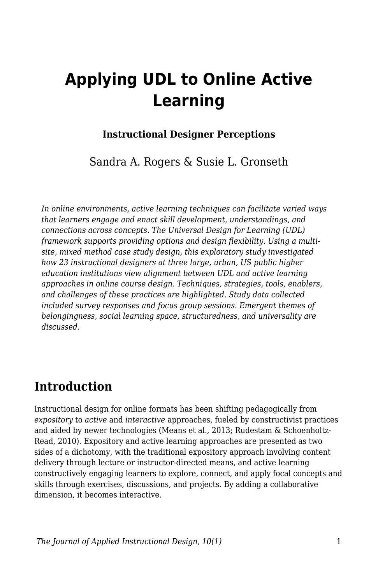# **Applying UDL to Online Active Learning**

### **Instructional Designer Perceptions**

Sandra A. Rogers & Susie L. Gronseth

*In online environments, active learning techniques can facilitate varied ways that learners engage and enact skill development, understandings, and connections across concepts. The Universal Design for Learning (UDL) framework supports providing options and design flexibility. Using a multisite, mixed method case study design, this exploratory study investigated how 23 instructional designers at three large, urban, US public higher education institutions view alignment between UDL and active learning approaches in online course design. Techniques, strategies, tools, enablers, and challenges of these practices are highlighted. Study data collected included survey responses and focus group sessions. Emergent themes of belongingness, social learning space, structuredness, and universality are discussed.*

## **Introduction**

Instructional design for online formats has been shifting pedagogically from *expository* to *active* and *interactive* approaches, fueled by constructivist practices and aided by newer technologies (Means et al., 2013; Rudestam & Schoenholtz-Read, 2010). Expository and active learning approaches are presented as two sides of a dichotomy, with the traditional expository approach involving content delivery through lecture or instructor-directed means, and active learning constructively engaging learners to explore, connect, and apply focal concepts and skills through exercises, discussions, and projects. By adding a collaborative dimension, it becomes interactive.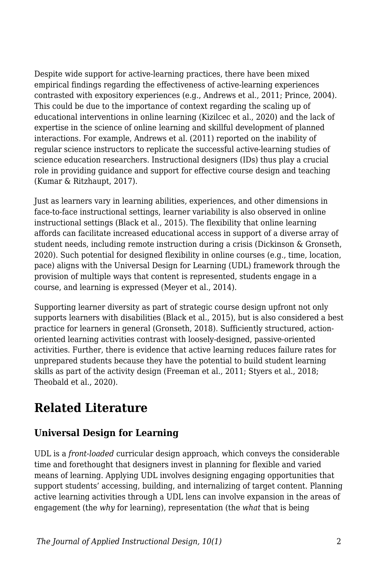Despite wide support for active-learning practices, there have been mixed empirical findings regarding the effectiveness of active-learning experiences contrasted with expository experiences (e.g., Andrews et al., 2011; Prince, 2004). This could be due to the importance of context regarding the scaling up of educational interventions in online learning (Kizilcec et al., 2020) and the lack of expertise in the science of online learning and skillful development of planned interactions. For example, Andrews et al. (2011) reported on the inability of regular science instructors to replicate the successful active-learning studies of science education researchers. Instructional designers (IDs) thus play a crucial role in providing guidance and support for effective course design and teaching (Kumar & Ritzhaupt, 2017).

Just as learners vary in learning abilities, experiences, and other dimensions in face-to-face instructional settings, learner variability is also observed in online instructional settings (Black et al., 2015). The flexibility that online learning affords can facilitate increased educational access in support of a diverse array of student needs, including remote instruction during a crisis (Dickinson & Gronseth, 2020). Such potential for designed flexibility in online courses (e.g., time, location, pace) aligns with the Universal Design for Learning (UDL) framework through the provision of multiple ways that content is represented, students engage in a course, and learning is expressed (Meyer et al., 2014).

Supporting learner diversity as part of strategic course design upfront not only supports learners with disabilities (Black et al., 2015), but is also considered a best practice for learners in general (Gronseth, 2018). Sufficiently structured, actionoriented learning activities contrast with loosely-designed, passive-oriented activities. Further, there is evidence that active learning reduces failure rates for unprepared students because they have the potential to build student learning skills as part of the activity design (Freeman et al., 2011; Styers et al., 2018; Theobald et al., 2020).

## **Related Literature**

### **Universal Design for Learning**

UDL is a *front-loaded* curricular design approach, which conveys the considerable time and forethought that designers invest in planning for flexible and varied means of learning. Applying UDL involves designing engaging opportunities that support students' accessing, building, and internalizing of target content. Planning active learning activities through a UDL lens can involve expansion in the areas of engagement (the *why* for learning), representation (the *what* that is being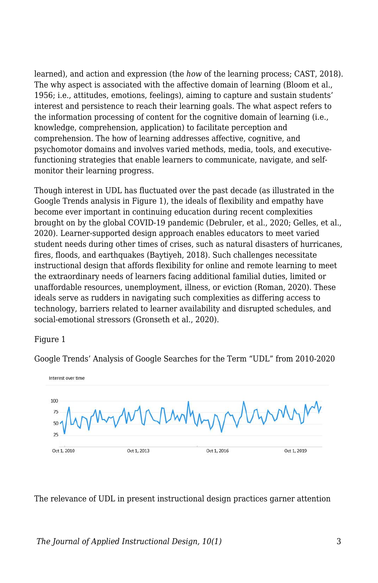learned), and action and expression (the *how* of the learning process; CAST, 2018). The why aspect is associated with the affective domain of learning (Bloom et al., 1956; i.e., attitudes, emotions, feelings), aiming to capture and sustain students' interest and persistence to reach their learning goals. The what aspect refers to the information processing of content for the cognitive domain of learning (i.e., knowledge, comprehension, application) to facilitate perception and comprehension. The how of learning addresses affective, cognitive, and psychomotor domains and involves varied methods, media, tools, and executivefunctioning strategies that enable learners to communicate, navigate, and selfmonitor their learning progress.

Though interest in UDL has fluctuated over the past decade (as illustrated in the Google Trends analysis in Figure 1), the ideals of flexibility and empathy have become ever important in continuing education during recent complexities brought on by the global COVID-19 pandemic (Debruler, et al., 2020; Gelles, et al., 2020). Learner-supported design approach enables educators to meet varied student needs during other times of crises, such as natural disasters of hurricanes, fires, floods, and earthquakes (Baytiyeh, 2018). Such challenges necessitate instructional design that affords flexibility for online and remote learning to meet the extraordinary needs of learners facing additional familial duties, limited or unaffordable resources, unemployment, illness, or eviction (Roman, 2020). These ideals serve as rudders in navigating such complexities as differing access to technology, barriers related to learner availability and disrupted schedules, and social-emotional stressors (Gronseth et al., 2020).

Figure 1

Google Trends' Analysis of Google Searches for the Term "UDL" from 2010-2020



The relevance of UDL in present instructional design practices garner attention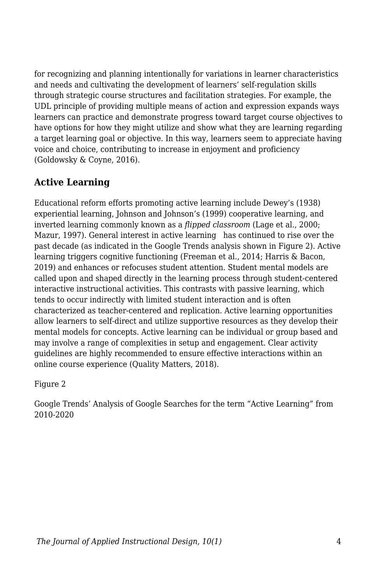for recognizing and planning intentionally for variations in learner characteristics and needs and cultivating the development of learners' self-regulation skills through strategic course structures and facilitation strategies. For example, the UDL principle of providing multiple means of action and expression expands ways learners can practice and demonstrate progress toward target course objectives to have options for how they might utilize and show what they are learning regarding a target learning goal or objective. In this way, learners seem to appreciate having voice and choice, contributing to increase in enjoyment and proficiency (Goldowsky & Coyne, 2016).

### **Active Learning**

Educational reform efforts promoting active learning include Dewey's (1938) experiential learning, Johnson and Johnson's (1999) cooperative learning, and inverted learning commonly known as a *flipped classroom* (Lage et al., 2000; Mazur, 1997). General interest in active learning has continued to rise over the past decade (as indicated in the Google Trends analysis shown in Figure 2). Active learning triggers cognitive functioning (Freeman et al., 2014; Harris & Bacon, 2019) and enhances or refocuses student attention. Student mental models are called upon and shaped directly in the learning process through student-centered interactive instructional activities. This contrasts with passive learning, which tends to occur indirectly with limited student interaction and is often characterized as teacher-centered and replication. Active learning opportunities allow learners to self-direct and utilize supportive resources as they develop their mental models for concepts. Active learning can be individual or group based and may involve a range of complexities in setup and engagement. Clear activity guidelines are highly recommended to ensure effective interactions within an online course experience (Quality Matters, 2018).

Figure 2

Google Trends' Analysis of Google Searches for the term "Active Learning" from 2010-2020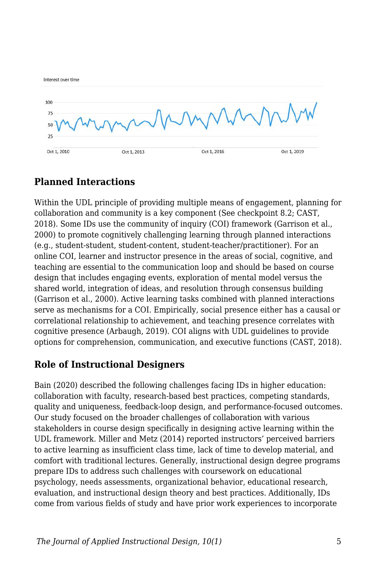

### **Planned Interactions**

Within the UDL principle of providing multiple means of engagement, planning for collaboration and community is a key component (See checkpoint 8.2; CAST, 2018). Some IDs use the community of inquiry (COI) framework (Garrison et al., 2000) to promote cognitively challenging learning through planned interactions (e.g., student-student, student-content, student-teacher/practitioner). For an online COI, learner and instructor presence in the areas of social, cognitive, and teaching are essential to the communication loop and should be based on course design that includes engaging events, exploration of mental model versus the shared world, integration of ideas, and resolution through consensus building (Garrison et al., 2000). Active learning tasks combined with planned interactions serve as mechanisms for a COI. Empirically, social presence either has a causal or correlational relationship to achievement, and teaching presence correlates with cognitive presence (Arbaugh, 2019). COI aligns with UDL guidelines to provide options for comprehension, communication, and executive functions (CAST, 2018).

### **Role of Instructional Designers**

Bain (2020) described the following challenges facing IDs in higher education: collaboration with faculty, research-based best practices, competing standards, quality and uniqueness, feedback-loop design, and performance-focused outcomes. Our study focused on the broader challenges of collaboration with various stakeholders in course design specifically in designing active learning within the UDL framework. Miller and Metz (2014) reported instructors' perceived barriers to active learning as insufficient class time, lack of time to develop material, and comfort with traditional lectures. Generally, instructional design degree programs prepare IDs to address such challenges with coursework on educational psychology, needs assessments, organizational behavior, educational research, evaluation, and instructional design theory and best practices. Additionally, IDs come from various fields of study and have prior work experiences to incorporate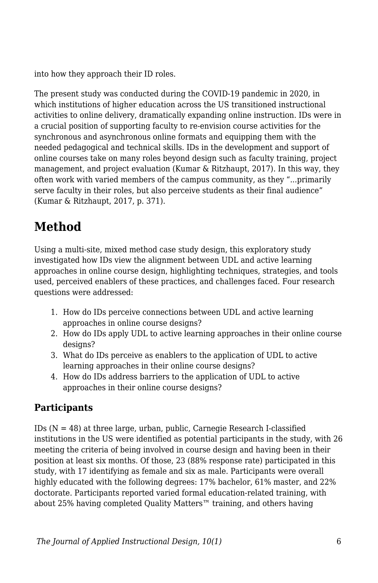into how they approach their ID roles.

The present study was conducted during the COVID-19 pandemic in 2020, in which institutions of higher education across the US transitioned instructional activities to online delivery, dramatically expanding online instruction. IDs were in a crucial position of supporting faculty to re-envision course activities for the synchronous and asynchronous online formats and equipping them with the needed pedagogical and technical skills. IDs in the development and support of online courses take on many roles beyond design such as faculty training, project management, and project evaluation (Kumar & Ritzhaupt, 2017). In this way, they often work with varied members of the campus community, as they "...primarily serve faculty in their roles, but also perceive students as their final audience" (Kumar & Ritzhaupt, 2017, p. 371).

## **Method**

Using a multi-site, mixed method case study design, this exploratory study investigated how IDs view the alignment between UDL and active learning approaches in online course design, highlighting techniques, strategies, and tools used, perceived enablers of these practices, and challenges faced. Four research questions were addressed:

- 1. How do IDs perceive connections between UDL and active learning approaches in online course designs?
- 2. How do IDs apply UDL to active learning approaches in their online course designs?
- 3. What do IDs perceive as enablers to the application of UDL to active learning approaches in their online course designs?
- 4. How do IDs address barriers to the application of UDL to active approaches in their online course designs?

### **Participants**

IDs  $(N = 48)$  at three large, urban, public, Carnegie Research I-classified institutions in the US were identified as potential participants in the study, with 26 meeting the criteria of being involved in course design and having been in their position at least six months. Of those, 23 (88% response rate) participated in this study, with 17 identifying as female and six as male. Participants were overall highly educated with the following degrees: 17% bachelor, 61% master, and 22% doctorate. Participants reported varied formal education-related training, with about 25% having completed Quality Matters™ training, and others having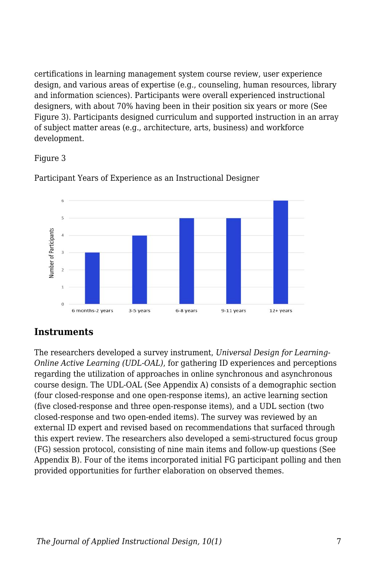certifications in learning management system course review, user experience design, and various areas of expertise (e.g., counseling, human resources, library and information sciences). Participants were overall experienced instructional designers, with about 70% having been in their position six years or more (See Figure 3). Participants designed curriculum and supported instruction in an array of subject matter areas (e.g., architecture, arts, business) and workforce development.

#### Figure 3



Participant Years of Experience as an Instructional Designer

### **Instruments**

The researchers developed a survey instrument, *Universal Design for Learning-Online Active Learning (UDL-OAL)*, for gathering ID experiences and perceptions regarding the utilization of approaches in online synchronous and asynchronous course design. The UDL-OAL (See Appendix A) consists of a demographic section (four closed-response and one open-response items), an active learning section (five closed-response and three open-response items), and a UDL section (two closed-response and two open-ended items). The survey was reviewed by an external ID expert and revised based on recommendations that surfaced through this expert review. The researchers also developed a semi-structured focus group (FG) session protocol, consisting of nine main items and follow-up questions (See Appendix B). Four of the items incorporated initial FG participant polling and then provided opportunities for further elaboration on observed themes.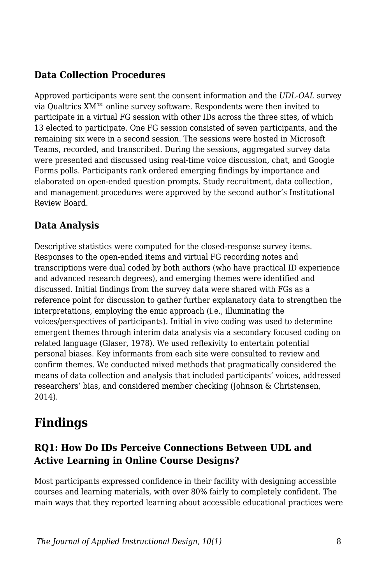### **Data Collection Procedures**

Approved participants were sent the consent information and the *UDL-OAL* survey via Qualtrics XM™ online survey software. Respondents were then invited to participate in a virtual FG session with other IDs across the three sites, of which 13 elected to participate. One FG session consisted of seven participants, and the remaining six were in a second session. The sessions were hosted in Microsoft Teams, recorded, and transcribed. During the sessions, aggregated survey data were presented and discussed using real-time voice discussion, chat, and Google Forms polls. Participants rank ordered emerging findings by importance and elaborated on open-ended question prompts. Study recruitment, data collection, and management procedures were approved by the second author's Institutional Review Board.

### **Data Analysis**

Descriptive statistics were computed for the closed-response survey items. Responses to the open-ended items and virtual FG recording notes and transcriptions were dual coded by both authors (who have practical ID experience and advanced research degrees), and emerging themes were identified and discussed. Initial findings from the survey data were shared with FGs as a reference point for discussion to gather further explanatory data to strengthen the interpretations, employing the emic approach (i.e., illuminating the voices/perspectives of participants). Initial in vivo coding was used to determine emergent themes through interim data analysis via a secondary focused coding on related language (Glaser, 1978). We used reflexivity to entertain potential personal biases. Key informants from each site were consulted to review and confirm themes. We conducted mixed methods that pragmatically considered the means of data collection and analysis that included participants' voices, addressed researchers' bias, and considered member checking (Johnson & Christensen, 2014).

## **Findings**

### **RQ1: How Do IDs Perceive Connections Between UDL and Active Learning in Online Course Designs?**

Most participants expressed confidence in their facility with designing accessible courses and learning materials, with over 80% fairly to completely confident. The main ways that they reported learning about accessible educational practices were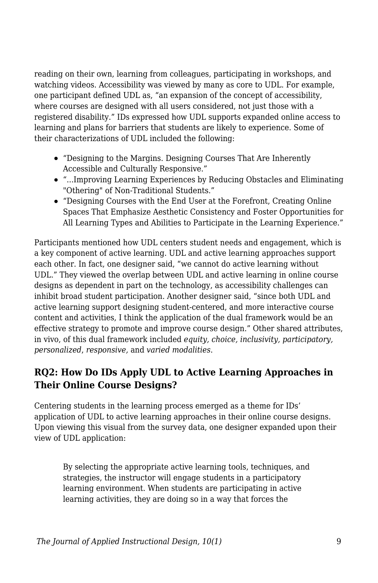reading on their own, learning from colleagues, participating in workshops, and watching videos. Accessibility was viewed by many as core to UDL. For example, one participant defined UDL as, "an expansion of the concept of accessibility, where courses are designed with all users considered, not just those with a registered disability." IDs expressed how UDL supports expanded online access to learning and plans for barriers that students are likely to experience. Some of their characterizations of UDL included the following:

- "Designing to the Margins. Designing Courses That Are Inherently Accessible and Culturally Responsive."
- "...Improving Learning Experiences by Reducing Obstacles and Eliminating "Othering" of Non-Traditional Students."
- "Designing Courses with the End User at the Forefront, Creating Online Spaces That Emphasize Aesthetic Consistency and Foster Opportunities for All Learning Types and Abilities to Participate in the Learning Experience."

Participants mentioned how UDL centers student needs and engagement, which is a key component of active learning. UDL and active learning approaches support each other. In fact, one designer said, "we cannot do active learning without UDL." They viewed the overlap between UDL and active learning in online course designs as dependent in part on the technology, as accessibility challenges can inhibit broad student participation. Another designer said, "since both UDL and active learning support designing student-centered, and more interactive course content and activities, I think the application of the dual framework would be an effective strategy to promote and improve course design." Other shared attributes, in vivo, of this dual framework included *equity, choice, inclusivity, participatory, personalized*, *responsive,* and *varied modalities*.

### **RQ2: How Do IDs Apply UDL to Active Learning Approaches in Their Online Course Designs?**

Centering students in the learning process emerged as a theme for IDs' application of UDL to active learning approaches in their online course designs. Upon viewing this visual from the survey data, one designer expanded upon their view of UDL application:

By selecting the appropriate active learning tools, techniques, and strategies, the instructor will engage students in a participatory learning environment. When students are participating in active learning activities, they are doing so in a way that forces the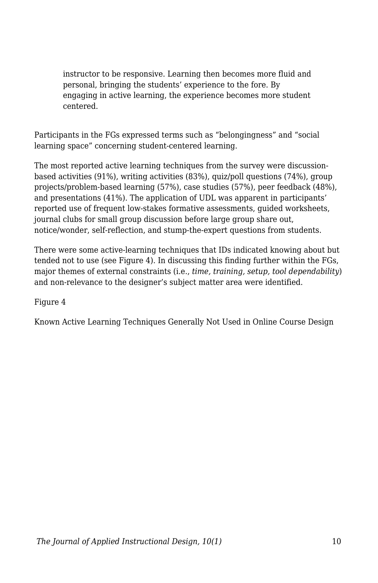instructor to be responsive. Learning then becomes more fluid and personal, bringing the students' experience to the fore. By engaging in active learning, the experience becomes more student centered.

Participants in the FGs expressed terms such as "belongingness" and "social learning space" concerning student-centered learning.

The most reported active learning techniques from the survey were discussionbased activities (91%), writing activities (83%), quiz/poll questions (74%), group projects/problem-based learning (57%), case studies (57%), peer feedback (48%), and presentations (41%). The application of UDL was apparent in participants' reported use of frequent low-stakes formative assessments, guided worksheets, journal clubs for small group discussion before large group share out, notice/wonder, self-reflection, and stump-the-expert questions from students.

There were some active-learning techniques that IDs indicated knowing about but tended not to use (see Figure 4). In discussing this finding further within the FGs, major themes of external constraints (i.e., *time, training, setup, tool dependability*) and non-relevance to the designer's subject matter area were identified.

Figure 4

Known Active Learning Techniques Generally Not Used in Online Course Design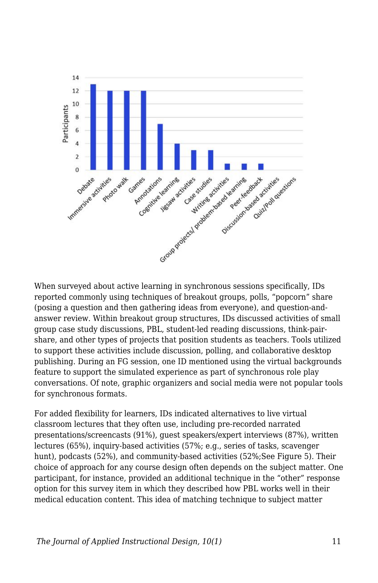

When surveyed about active learning in synchronous sessions specifically, IDs reported commonly using techniques of breakout groups, polls, "popcorn" share (posing a question and then gathering ideas from everyone), and question-andanswer review. Within breakout group structures, IDs discussed activities of small group case study discussions, PBL, student-led reading discussions, think-pairshare, and other types of projects that position students as teachers. Tools utilized to support these activities include discussion, polling, and collaborative desktop publishing. During an FG session, one ID mentioned using the virtual backgrounds feature to support the simulated experience as part of synchronous role play conversations. Of note, graphic organizers and social media were not popular tools for synchronous formats.

For added flexibility for learners, IDs indicated alternatives to live virtual classroom lectures that they often use, including pre-recorded narrated presentations/screencasts (91%), guest speakers/expert interviews (87%), written lectures (65%), inquiry-based activities (57%; e.g., series of tasks, scavenger hunt), podcasts (52%), and community-based activities (52%;See Figure 5). Their choice of approach for any course design often depends on the subject matter. One participant, for instance, provided an additional technique in the "other" response option for this survey item in which they described how PBL works well in their medical education content. This idea of matching technique to subject matter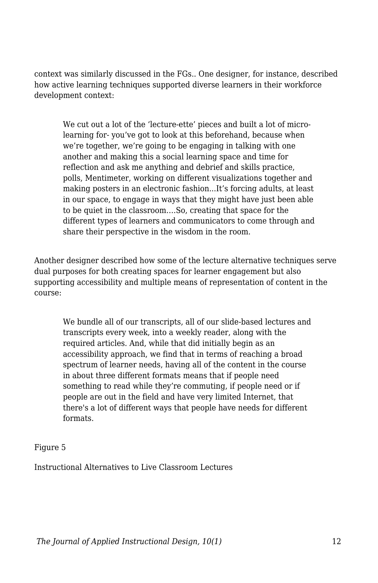context was similarly discussed in the FGs.. One designer, for instance, described how active learning techniques supported diverse learners in their workforce development context:

We cut out a lot of the 'lecture-ette' pieces and built a lot of microlearning for- you've got to look at this beforehand, because when we're together, we're going to be engaging in talking with one another and making this a social learning space and time for reflection and ask me anything and debrief and skills practice, polls, Mentimeter, working on different visualizations together and making posters in an electronic fashion...It's forcing adults, at least in our space, to engage in ways that they might have just been able to be quiet in the classroom….So, creating that space for the different types of learners and communicators to come through and share their perspective in the wisdom in the room.

Another designer described how some of the lecture alternative techniques serve dual purposes for both creating spaces for learner engagement but also supporting accessibility and multiple means of representation of content in the course:

We bundle all of our transcripts, all of our slide-based lectures and transcripts every week, into a weekly reader, along with the required articles. And, while that did initially begin as an accessibility approach, we find that in terms of reaching a broad spectrum of learner needs, having all of the content in the course in about three different formats means that if people need something to read while they're commuting, if people need or if people are out in the field and have very limited Internet, that there's a lot of different ways that people have needs for different formats.

#### Figure 5

Instructional Alternatives to Live Classroom Lectures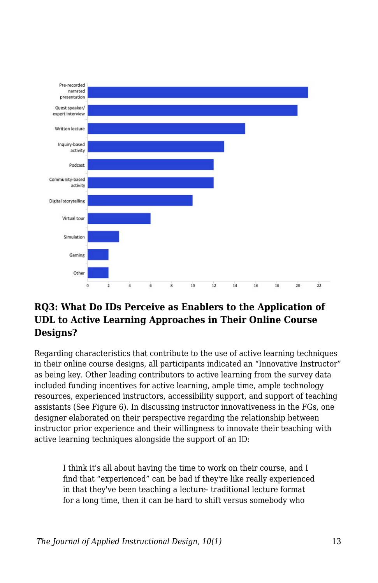

### **RQ3: What Do IDs Perceive as Enablers to the Application of UDL to Active Learning Approaches in Their Online Course Designs?**

Regarding characteristics that contribute to the use of active learning techniques in their online course designs, all participants indicated an "Innovative Instructor" as being key. Other leading contributors to active learning from the survey data included funding incentives for active learning, ample time, ample technology resources, experienced instructors, accessibility support, and support of teaching assistants (See Figure 6). In discussing instructor innovativeness in the FGs, one designer elaborated on their perspective regarding the relationship between instructor prior experience and their willingness to innovate their teaching with active learning techniques alongside the support of an ID:

I think it's all about having the time to work on their course, and I find that "experienced" can be bad if they're like really experienced in that they've been teaching a lecture- traditional lecture format for a long time, then it can be hard to shift versus somebody who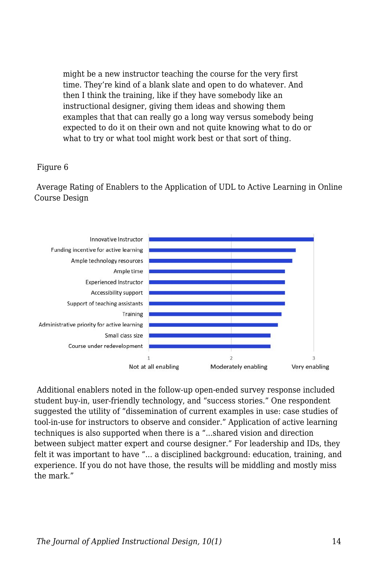might be a new instructor teaching the course for the very first time. They're kind of a blank slate and open to do whatever. And then I think the training, like if they have somebody like an instructional designer, giving them ideas and showing them examples that that can really go a long way versus somebody being expected to do it on their own and not quite knowing what to do or what to try or what tool might work best or that sort of thing.

#### Figure 6

 Average Rating of Enablers to the Application of UDL to Active Learning in Online Course Design



Additional enablers noted in the follow-up open-ended survey response included student buy-in, user-friendly technology, and "success stories." One respondent suggested the utility of "dissemination of current examples in use: case studies of tool-in-use for instructors to observe and consider." Application of active learning techniques is also supported when there is a "...shared vision and direction between subject matter expert and course designer." For leadership and IDs, they felt it was important to have "... a disciplined background: education, training, and experience. If you do not have those, the results will be middling and mostly miss the mark."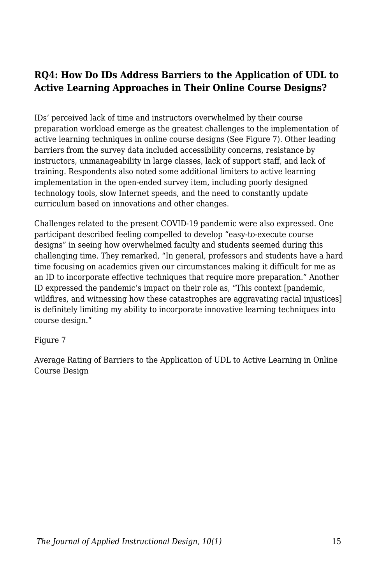### **RQ4: How Do IDs Address Barriers to the Application of UDL to Active Learning Approaches in Their Online Course Designs?**

IDs' perceived lack of time and instructors overwhelmed by their course preparation workload emerge as the greatest challenges to the implementation of active learning techniques in online course designs (See Figure 7). Other leading barriers from the survey data included accessibility concerns, resistance by instructors, unmanageability in large classes, lack of support staff, and lack of training. Respondents also noted some additional limiters to active learning implementation in the open-ended survey item, including poorly designed technology tools, slow Internet speeds, and the need to constantly update curriculum based on innovations and other changes.

Challenges related to the present COVID-19 pandemic were also expressed. One participant described feeling compelled to develop "easy-to-execute course designs" in seeing how overwhelmed faculty and students seemed during this challenging time. They remarked, "In general, professors and students have a hard time focusing on academics given our circumstances making it difficult for me as an ID to incorporate effective techniques that require more preparation." Another ID expressed the pandemic's impact on their role as, "This context [pandemic, wildfires, and witnessing how these catastrophes are aggravating racial injustices] is definitely limiting my ability to incorporate innovative learning techniques into course design."

Figure 7

Average Rating of Barriers to the Application of UDL to Active Learning in Online Course Design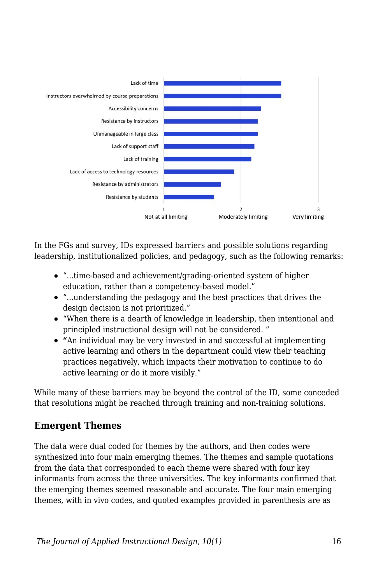

In the FGs and survey, IDs expressed barriers and possible solutions regarding leadership, institutionalized policies, and pedagogy, such as the following remarks:

- "...time-based and achievement/grading-oriented system of higher education, rather than a competency-based model."
- "...understanding the pedagogy and the best practices that drives the design decision is not prioritized."
- "When there is a dearth of knowledge in leadership, then intentional and principled instructional design will not be considered. "
- **"**An individual may be very invested in and successful at implementing active learning and others in the department could view their teaching practices negatively, which impacts their motivation to continue to do active learning or do it more visibly."

While many of these barriers may be beyond the control of the ID, some conceded that resolutions might be reached through training and non-training solutions.

### **Emergent Themes**

The data were dual coded for themes by the authors, and then codes were synthesized into four main emerging themes. The themes and sample quotations from the data that corresponded to each theme were shared with four key informants from across the three universities. The key informants confirmed that the emerging themes seemed reasonable and accurate. The four main emerging themes, with in vivo codes, and quoted examples provided in parenthesis are as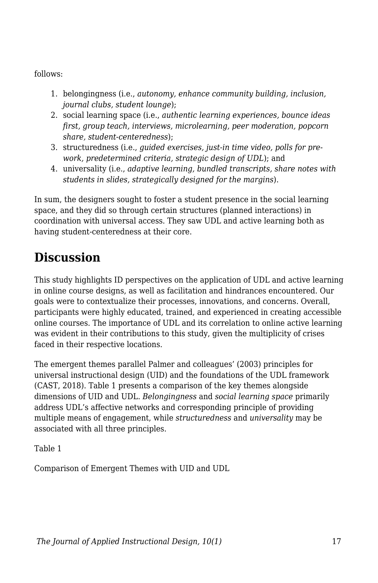follows:

- 1. belongingness (i.e., *autonomy, enhance community building, inclusion, journal clubs, student lounge*);
- 2. social learning space (i.e., *authentic learning experiences, bounce ideas first, group teach, interviews, microlearning, peer moderation, popcorn share, student-centeredness*);
- 3. structuredness (i.e., *guided exercises, just-in time video, polls for prework, predetermined criteria, strategic design of UDL*); and
- 4. universality (i.e., *adaptive learning, bundled transcripts, share notes with students in slides, strategically designed for the margins*).

In sum, the designers sought to foster a student presence in the social learning space, and they did so through certain structures (planned interactions) in coordination with universal access. They saw UDL and active learning both as having student-centeredness at their core.

## **Discussion**

This study highlights ID perspectives on the application of UDL and active learning in online course designs, as well as facilitation and hindrances encountered. Our goals were to contextualize their processes, innovations, and concerns. Overall, participants were highly educated, trained, and experienced in creating accessible online courses. The importance of UDL and its correlation to online active learning was evident in their contributions to this study, given the multiplicity of crises faced in their respective locations.

The emergent themes parallel Palmer and colleagues' (2003) principles for universal instructional design (UID) and the foundations of the UDL framework (CAST, 2018). Table 1 presents a comparison of the key themes alongside dimensions of UID and UDL. *Belongingness* and *social learning space* primarily address UDL's affective networks and corresponding principle of providing multiple means of engagement, while *structuredness* and *universality* may be associated with all three principles.

Table 1

Comparison of Emergent Themes with UID and UDL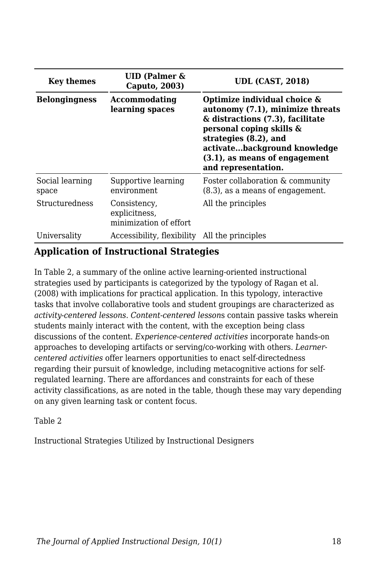| <b>Key themes</b>                                        | UID (Palmer $\&$<br>Caputo, 2003)                       | <b>UDL (CAST, 2018)</b>                                                                                                                                                                                                                           |  |  |
|----------------------------------------------------------|---------------------------------------------------------|---------------------------------------------------------------------------------------------------------------------------------------------------------------------------------------------------------------------------------------------------|--|--|
| <b>Belongingness</b><br>Accommodating<br>learning spaces |                                                         | Optimize individual choice &<br>autonomy (7.1), minimize threats<br>& distractions (7.3), facilitate<br>personal coping skills &<br>strategies (8.2), and<br>activatebackground knowledge<br>(3.1), as means of engagement<br>and representation. |  |  |
| Social learning<br>space                                 | Supportive learning<br>environment                      | Foster collaboration & community<br>$(8.3)$ , as a means of engagement.                                                                                                                                                                           |  |  |
| Structuredness                                           | Consistency,<br>explicitness,<br>minimization of effort | All the principles                                                                                                                                                                                                                                |  |  |
| Universality                                             | Accessibility, flexibility                              | All the principles                                                                                                                                                                                                                                |  |  |

### **Application of Instructional Strategies**

In Table 2, a summary of the online active learning-oriented instructional strategies used by participants is categorized by the typology of Ragan et al. (2008) with implications for practical application. In this typology, interactive tasks that involve collaborative tools and student groupings are characterized as *activity-centered lessons*. *Content-centered lesson*s contain passive tasks wherein students mainly interact with the content, with the exception being class discussions of the content. *Experience-centered activities* incorporate hands-on approaches to developing artifacts or serving/co-working with others. *Learnercentered activities* offer learners opportunities to enact self-directedness regarding their pursuit of knowledge, including metacognitive actions for selfregulated learning. There are affordances and constraints for each of these activity classifications, as are noted in the table, though these may vary depending on any given learning task or content focus.

#### Table 2

Instructional Strategies Utilized by Instructional Designers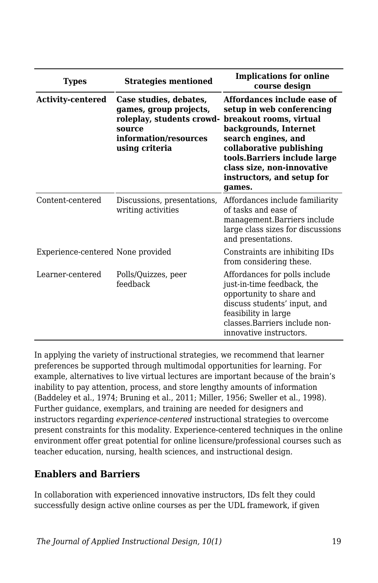| <b>Types</b>                      | <b>Strategies mentioned</b>                                                                                                        | <b>Implications for online</b><br>course design                                                                                                                                                                                                                       |  |  |
|-----------------------------------|------------------------------------------------------------------------------------------------------------------------------------|-----------------------------------------------------------------------------------------------------------------------------------------------------------------------------------------------------------------------------------------------------------------------|--|--|
| <b>Activity-centered</b>          | Case studies, debates,<br>games, group projects,<br>roleplay, students crowd-<br>source<br>information/resources<br>using criteria | Affordances include ease of<br>setup in web conferencing<br>breakout rooms, virtual<br>backgrounds, Internet<br>search engines, and<br>collaborative publishing<br>tools.Barriers include large<br>class size, non-innovative<br>instructors, and setup for<br>games. |  |  |
| Content-centered                  | Discussions, presentations,<br>writing activities                                                                                  | Affordances include familiarity<br>of tasks and ease of<br>management.Barriers include<br>large class sizes for discussions<br>and presentations.                                                                                                                     |  |  |
| Experience-centered None provided |                                                                                                                                    | Constraints are inhibiting IDs<br>from considering these.                                                                                                                                                                                                             |  |  |
| Learner-centered                  | Polls/Quizzes, peer<br>feedback                                                                                                    | Affordances for polls include<br>just-in-time feedback, the<br>opportunity to share and<br>discuss students' input, and<br>feasibility in large<br>classes Barriers include non-<br>innovative instructors.                                                           |  |  |

In applying the variety of instructional strategies, we recommend that learner preferences be supported through multimodal opportunities for learning. For example, alternatives to live virtual lectures are important because of the brain's inability to pay attention, process, and store lengthy amounts of information (Baddeley et al., 1974; Bruning et al., 2011; Miller, 1956; Sweller et al., 1998). Further guidance, exemplars, and training are needed for designers and instructors regarding *experience-centered* instructional strategies to overcome present constraints for this modality. Experience-centered techniques in the online environment offer great potential for online licensure/professional courses such as teacher education, nursing, health sciences, and instructional design.

### **Enablers and Barriers**

In collaboration with experienced innovative instructors, IDs felt they could successfully design active online courses as per the UDL framework, if given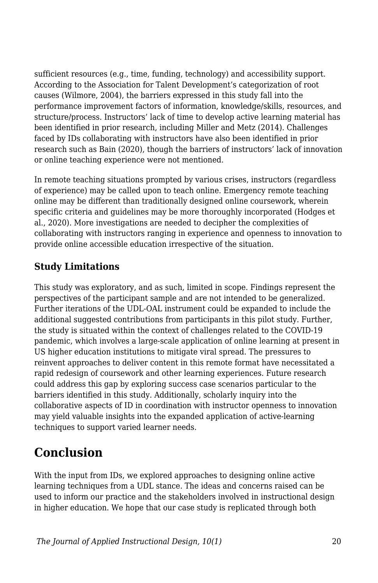sufficient resources (e.g., time, funding, technology) and accessibility support. According to the Association for Talent Development's categorization of root causes (Wilmore, 2004), the barriers expressed in this study fall into the performance improvement factors of information, knowledge/skills, resources, and structure/process. Instructors' lack of time to develop active learning material has been identified in prior research, including Miller and Metz (2014). Challenges faced by IDs collaborating with instructors have also been identified in prior research such as Bain (2020), though the barriers of instructors' lack of innovation or online teaching experience were not mentioned.

In remote teaching situations prompted by various crises, instructors (regardless of experience) may be called upon to teach online. Emergency remote teaching online may be different than traditionally designed online coursework, wherein specific criteria and guidelines may be more thoroughly incorporated (Hodges et al., 2020). More investigations are needed to decipher the complexities of collaborating with instructors ranging in experience and openness to innovation to provide online accessible education irrespective of the situation.

### **Study Limitations**

This study was exploratory, and as such, limited in scope. Findings represent the perspectives of the participant sample and are not intended to be generalized. Further iterations of the UDL-OAL instrument could be expanded to include the additional suggested contributions from participants in this pilot study. Further, the study is situated within the context of challenges related to the COVID-19 pandemic, which involves a large-scale application of online learning at present in US higher education institutions to mitigate viral spread. The pressures to reinvent approaches to deliver content in this remote format have necessitated a rapid redesign of coursework and other learning experiences. Future research could address this gap by exploring success case scenarios particular to the barriers identified in this study. Additionally, scholarly inquiry into the collaborative aspects of ID in coordination with instructor openness to innovation may yield valuable insights into the expanded application of active-learning techniques to support varied learner needs.

## **Conclusion**

With the input from IDs, we explored approaches to designing online active learning techniques from a UDL stance. The ideas and concerns raised can be used to inform our practice and the stakeholders involved in instructional design in higher education. We hope that our case study is replicated through both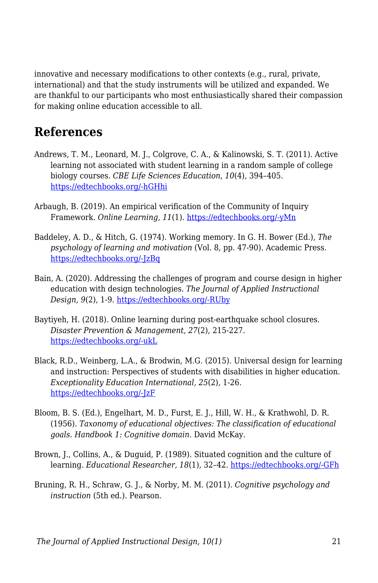innovative and necessary modifications to other contexts (e.g., rural, private, international) and that the study instruments will be utilized and expanded. We are thankful to our participants who most enthusiastically shared their compassion for making online education accessible to all.

## **References**

- Andrews, T. M., Leonard, M. J., Colgrove, C. A., & Kalinowski, S. T. (2011). Active learning not associated with student learning in a random sample of college biology courses. *CBE Life Sciences Education*, *10*(4), 394–405. [https://edtechbooks.org/-hGHhi](https://doi.org/10.1187/cbe.11-07-0061)
- Arbaugh, B. (2019). An empirical verification of the Community of Inquiry Framework. *Online Learning, 11*(1). [https://edtechbooks.org/-yMn](http://dx.doi.org/10.24059/olj.v11i1.1738)
- Baddeley, A. D., & Hitch, G. (1974). Working memory. In G. H. Bower (Ed.), *The psychology of learning and motivation* (Vol. 8, pp. 47-90). Academic Press. [https://edtechbooks.org/-JzBq](https://doi.org/10.1016/S0079-7421(08)60452-1)
- Bain, A. (2020). Addressing the challenges of program and course design in higher education with design technologies. *The Journal of Applied Instructional Design, 9*(2), 1-9. [https://edtechbooks.org/-RUby](https://edtechbooks.org/jaid_9_2/addressing_the_chall)
- Baytiyeh, H. (2018). Online learning during post-earthquake school closures. *Disaster Prevention & Management, 27*(2), 215-227. [https://edtechbooks.org/-ukL](https://doi.org/10.1108/DPM-07-2017-0173)
- Black, R.D., Weinberg, L.A., & Brodwin, M.G. (2015). Universal design for learning and instruction: Perspectives of students with disabilities in higher education. *Exceptionality Education International, 25*(2), 1-26. [https://edtechbooks.org/-JzF](https://ir.lib.uwo.ca/cgi/viewcontent.cgi?article=1131&context=eei)
- Bloom, B. S. (Ed.), Engelhart, M. D., Furst, E. J., Hill, W. H., & Krathwohl, D. R. (1956). *Taxonomy of educational objectives: The classification of educational goals. Handbook 1: Cognitive domain*. David McKay.
- Brown, J., Collins, A., & Duguid, P. (1989). Situated cognition and the culture of learning. *Educational Researcher, 18*(1), 32–42. [https://edtechbooks.org/-GFh](https://core.ac.uk/download/pdf/4826414.pdf)
- Bruning, R. H., Schraw, G. J., & Norby, M. M. (2011). *Cognitive psychology and instruction* (5th ed.). Pearson.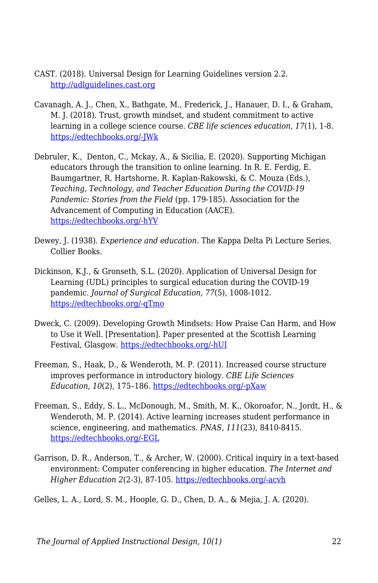- CAST. (2018). Universal Design for Learning Guidelines version 2.2. <http://udlguidelines.cast.org>
- Cavanagh, A. J., Chen, X., Bathgate, M., Frederick, J., Hanauer, D. I., & Graham, M. J. (2018). Trust, growth mindset, and student commitment to active learning in a college science course. *CBE life sciences education*, *17*(1), 1-8. [https://edtechbooks.org/-JWk](https://doi.org/10.1187/cbe.17-06-0107)
- Debruler, K., Denton, C., Mckay, A., & Sicilia, E. (2020). Supporting Michigan educators through the transition to online learning. In R. E. Ferdig, E. Baumgartner, R. Hartshorne, R. Kaplan-Rakowski, & C. Mouza (Eds.), *Teaching, Technology, and Teacher Education During the COVID-19 Pandemic: Stories from the Field* (pp. 179-185). Association for the Advancement of Computing in Education (AACE). [https://edtechbooks.org/-hYV](https://www.learntechlib.org/p/216903/)
- Dewey, J. (1938). *Experience and education.* The Kappa Delta Pi Lecture Series. Collier Books.
- Dickinson, K.J., & Gronseth, S.L. (2020). Application of Universal Design for Learning (UDL) principles to surgical education during the COVID-19 pandemic. *Journal of Surgical Education, 77*(5), 1008-1012. [https://edtechbooks.org/-qTmo](https://www.sciencedirect.com/science/article/pii/S1931720420301987)
- Dweck, C. (2009). Developing Growth Mindsets: How Praise Can Harm, and How to Use it Well. [Presentation]. Paper presented at the Scottish Learning Festival, Glasgow. [https://edtechbooks.org/-hUI](http://www.educationscotland.gov.uk/video/c/video_tcm4565678.asp)
- Freeman, S., Haak, D., & Wenderoth, M. P. (2011). Increased course structure improves performance in introductory biology. *CBE Life Sciences Education*, *10*(2), 175–186. [https://edtechbooks.org/-pXaw](https://doi.org/10.1187/cbe.10-08-0105)
- Freeman, S., Eddy, S. L., McDonough, M., Smith, M. K., Okoroafor, N., Jordt, H., & Wenderoth, M. P. (2014). Active learning increases student performance in science, engineering, and mathematics. *PNAS, 111*(23), 8410-8415. [https://edtechbooks.org/-EGL](https://doi.org/10.1073/pnas.1319030111)
- Garrison, D. R., Anderson, T., & Archer, W. (2000). Critical inquiry in a text-based environment: Computer conferencing in higher education. *The Internet and Higher Education 2*(2-3), 87-105. [https://edtechbooks.org/-acvh](http://dx.doi.org/10.1016/S1096-7516(00)00016-6)

Gelles, L. A., Lord, S. M., Hoople, G. D., Chen, D. A., & Mejia, J. A. (2020).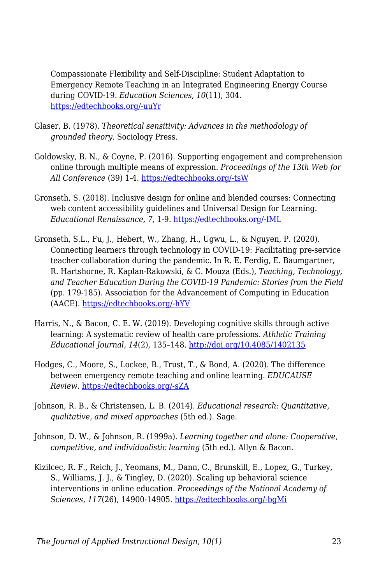Compassionate Flexibility and Self-Discipline: Student Adaptation to Emergency Remote Teaching in an Integrated Engineering Energy Course during COVID-19. *Education Sciences*, *10*(11), 304. [https://edtechbooks.org/-uuYr](https://doi.org/10.3390/educsci10110304)

- Glaser, B. (1978). *Theoretical sensitivity: Advances in the methodology of grounded theory.* Sociology Press.
- Goldowsky, B. N., & Coyne, P. (2016). Supporting engagement and comprehension online through multiple means of expression. *Proceedings of the 13th Web for All Conference* (39) 1-4. [https://edtechbooks.org/-tsW](https://dl.acm.org/doi/10.1145/2899475.2899488)
- Gronseth, S. (2018). Inclusive design for online and blended courses: Connecting web content accessibility guidelines and Universal Design for Learning. *Educational Renaissance, 7*, 1-9. [https://edtechbooks.org/-fML](https://doi.org/10.33499/edren.v7i1.114)
- Gronseth, S.L., Fu, J., Hebert, W., Zhang, H., Ugwu, L., & Nguyen, P. (2020). Connecting learners through technology in COVID-19: Facilitating pre-service teacher collaboration during the pandemic. In R. E. Ferdig, E. Baumgartner, R. Hartshorne, R. Kaplan-Rakowski, & C. Mouza (Eds.), *Teaching, Technology, and Teacher Education During the COVID-19 Pandemic: Stories from the Field* (pp. 179-185). Association for the Advancement of Computing in Education (AACE). [https://edtechbooks.org/-hYV](https://www.learntechlib.org/p/216903/)
- Harris, N., & Bacon, C. E. W. (2019). Developing cognitive skills through active learning: A systematic review of health care professions. *Athletic Training Educational Journal, 14*(2), 135–148.<http://doi.org/10.4085/1402135>
- Hodges, C., Moore, S., Lockee, B., Trust, T., & Bond, A. (2020). The difference between emergency remote teaching and online learning. *EDUCAUSE Review.* [https://edtechbooks.org/-sZA](https://er.educause.edu/articles/2020/3/the-difference-between-emergency-remote-teaching-and-online-learning)
- Johnson, R. B., & Christensen, L. B. (2014). *Educational research: Quantitative, qualitative, and mixed approaches* (5th ed.). Sage.
- Johnson, D. W., & Johnson, R. (1999a). *Learning together and alone: Cooperative, competitive, and individualistic learning* (5th ed.). Allyn & Bacon.
- Kizilcec, R. F., Reich, J., Yeomans, M., Dann, C., Brunskill, E., Lopez, G., Turkey, S., Williams, J. J., & Tingley, D. (2020). Scaling up behavioral science interventions in online education. *Proceedings of the National Academy of Sciences, 117*(26), 14900-14905. [https://edtechbooks.org/-bgMi](https://doi.org/10.1073/pnas.1921417117)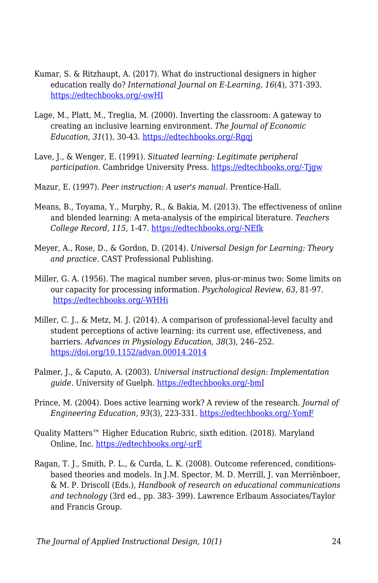- Kumar, S. & Ritzhaupt, A. (2017). What do instructional designers in higher education really do? *International Journal on E-Learning, 16*(4), 371-393. [https://edtechbooks.org/-owHI](https://www.learntechlib.org/primary/p/150980/)
- Lage, M., Platt, M., Treglia, M. (2000). Inverting the classroom: A gateway to creating an inclusive learning environment. *The Journal of Economic Education, 31*(1)*,* 30-43. [https://edtechbooks.org/-Rgqj](https://doi.org/10.2307/1183338)
- Lave, J., & Wenger, E. (1991). *Situated learning: Legitimate peripheral participation*. Cambridge University Press. [https://edtechbooks.org/-Tjgw](https://doi.org/10.1017/cbo9780511815355)
- Mazur, E. (1997). *Peer instruction: A user's manual*. Prentice-Hall.
- Means, B., Toyama, Y., Murphy, R., & Bakia, M. (2013). The effectiveness of online and blended learning: A meta-analysis of the empirical literature. *Teachers College Record, 115*, 1-47. [https://edtechbooks.org/-NEfk](https://archive.sri.com/sites/default/files/publications/effectiveness_of_online_and_blended_learning.pdf)
- Meyer, A., Rose, D., & Gordon, D. (2014). *Universal Design for Learning: Theory and practice.* CAST Professional Publishing.
- Miller, G. A. (1956). The magical number seven, plus-or-minus two: Some limits on our capacity for processing information. *Psychological Review*, *63*, 81-97. [https://edtechbooks.org/-WHHi](https://psycnet.apa.org/doi/10.1037/h0043158)
- Miller, C. J., & Metz, M. J. (2014). A comparison of professional-level faculty and student perceptions of active learning: its current use, effectiveness, and barriers. *Advances in Physiology Education*, *38*(3), 246–252. <https://doi.org/10.1152/advan.00014.2014>
- Palmer, J., & Caputo, A. (2003). *Universal instructional design: Implementation guide.* University of Guelph. [https://edtechbooks.org/-bmI](https://cer.jhu.edu/files/uid-implementation-guide-v6.pdf)
- Prince, M. (2004). Does active learning work? A review of the research. *Journal of Engineering Education, 93*(3), 223-331. [https://edtechbooks.org/-YomF](https://www.engr.ncsu.edu/wp-content/uploads/drive/1smSpn4AiHSh8z7a0MHDBwhb_JhcoLQmI/2004-Prince_AL.pdf)
- Quality Matters™ Higher Education Rubric, sixth edition. (2018). Maryland Online, Inc. [https://edtechbooks.org/-urE](https://www.qualitymatters.org/sites/default/files/PDFs/StandardsfromtheQMHigherEducationRubric.pdf)
- Ragan, T. J., Smith, P. L., & Curda, L. K. (2008). Outcome referenced, conditionsbased theories and models. In J.M. Spector, M. D. Merrill, J. van Merriënboer, & M. P. Driscoll (Eds.), *Handbook of research on educational communications and technology* (3rd ed., pp. 383- 399). Lawrence Erlbaum Associates/Taylor and Francis Group.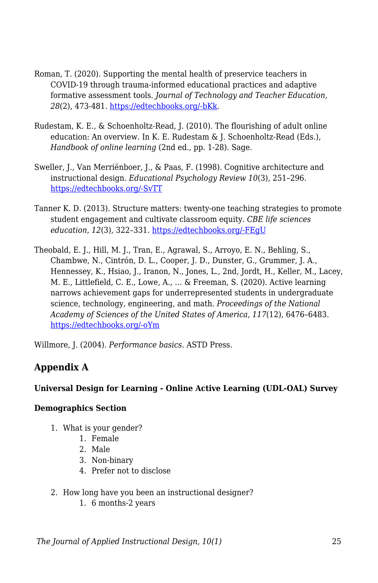- Roman, T. (2020). Supporting the mental health of preservice teachers in COVID-19 through trauma-informed educational practices and adaptive formative assessment tools. *Journal of Technology and Teacher Education, 28*(2), 473-481. [https://edtechbooks.org/-bKk.](https://www.learntechlib.org/primary/p/216363/)
- Rudestam, K. E., & Schoenholtz-Read, J. (2010). The flourishing of adult online education: An overview. In K. E. Rudestam & J. Schoenholtz-Read (Eds.), *Handbook of online learning* (2nd ed.*,* pp. 1-28). Sage.
- Sweller, J., Van Merriënboer, J., & Paas, F. (1998). Cognitive architecture and instructional design. *Educational Psychology Review 10*(3), 251–296. [https://edtechbooks.org/-SvTT](https://doi.org/10.1023/A:1022193728205)
- Tanner K. D. (2013). Structure matters: twenty-one teaching strategies to promote student engagement and cultivate classroom equity. *CBE life sciences education*, *12*(3), 322–331. [https://edtechbooks.org/-FEgU](https://doi.org/10.1187/cbe.13-06-0115)
- Theobald, E. J., Hill, M. J., Tran, E., Agrawal, S., Arroyo, E. N., Behling, S., Chambwe, N., Cintrón, D. L., Cooper, J. D., Dunster, G., Grummer, J. A., Hennessey, K., Hsiao, J., Iranon, N., Jones, L., 2nd, Jordt, H., Keller, M., Lacey, M. E., Littlefield, C. E., Lowe, A., … & Freeman, S. (2020). Active learning narrows achievement gaps for underrepresented students in undergraduate science, technology, engineering, and math. *Proceedings of the National Academy of Sciences of the United States of America*, *117*(12), 6476–6483. [https://edtechbooks.org/-oYm](https://doi.org/10.1073/pnas.1916903117)

Willmore, J. (2004). *Performance basics*. ASTD Press.

### **Appendix A**

#### **Universal Design for Learning - Online Active Learning (UDL-OAL) Survey**

#### **Demographics Section**

- 1. What is your gender?
	- 1. Female
	- 2. Male
	- 3. Non-binary
	- 4. Prefer not to disclose
- 2. How long have you been an instructional designer?
	- 1. 6 months-2 years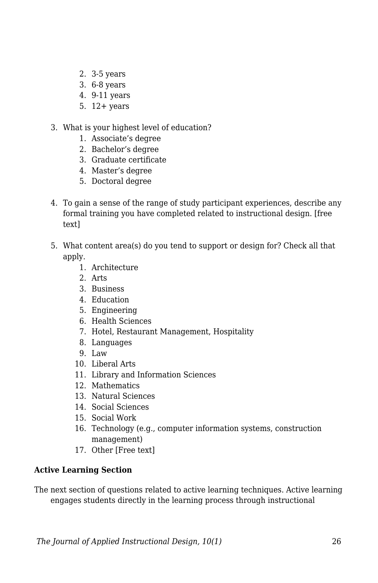- 2. 3-5 years
- 3. 6-8 years
- 4. 9-11 years
- 5. 12+ years
- 3. What is your highest level of education?
	- 1. Associate's degree
	- 2. Bachelor's degree
	- 3. Graduate certificate
	- 4. Master's degree
	- 5. Doctoral degree
- 4. To gain a sense of the range of study participant experiences, describe any formal training you have completed related to instructional design. [free text]
- 5. What content area(s) do you tend to support or design for? Check all that apply.
	- 1. Architecture
	- 2. Arts
	- 3. Business
	- 4. Education
	- 5. Engineering
	- 6. Health Sciences
	- 7. Hotel, Restaurant Management, Hospitality
	- 8. Languages
	- 9. Law
	- 10. Liberal Arts
	- 11. Library and Information Sciences
	- 12. Mathematics
	- 13. Natural Sciences
	- 14. Social Sciences
	- 15. Social Work
	- 16. Technology (e.g., computer information systems, construction management)
	- 17. Other [Free text]

#### **Active Learning Section**

The next section of questions related to active learning techniques. Active learning engages students directly in the learning process through instructional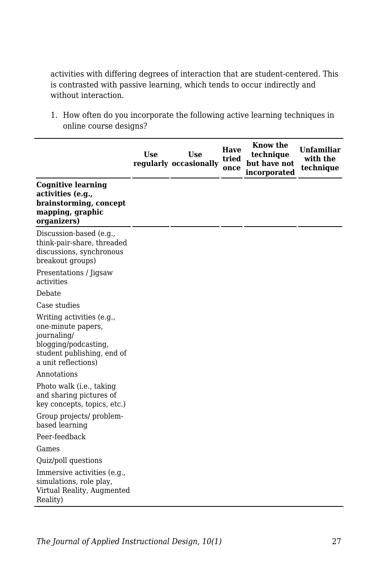activities with differing degrees of interaction that are student-centered. This is contrasted with passive learning, which tends to occur indirectly and without interaction.

1. How often do you incorporate the following active learning techniques in online course designs?

|                                                                                                                                             | <b>Use</b> | <b>Use</b><br>regularly occasionally | Have<br>tried<br>once | Know the<br>technique<br>but have not<br>incorporated | <b>Unfamiliar</b><br>with the<br>technique |
|---------------------------------------------------------------------------------------------------------------------------------------------|------------|--------------------------------------|-----------------------|-------------------------------------------------------|--------------------------------------------|
| <b>Cognitive learning</b><br>activities (e.g.,<br>brainstorming, concept<br>mapping, graphic<br>organizers)                                 |            |                                      |                       |                                                       |                                            |
| Discussion-based (e.g.,<br>think-pair-share, threaded<br>discussions, synchronous<br>breakout groups)                                       |            |                                      |                       |                                                       |                                            |
| Presentations / Jigsaw<br>activities                                                                                                        |            |                                      |                       |                                                       |                                            |
| Debate                                                                                                                                      |            |                                      |                       |                                                       |                                            |
| Case studies                                                                                                                                |            |                                      |                       |                                                       |                                            |
| Writing activities (e.g.,<br>one-minute papers,<br>journaling/<br>blogging/podcasting,<br>student publishing, end of<br>a unit reflections) |            |                                      |                       |                                                       |                                            |
| Annotations                                                                                                                                 |            |                                      |                       |                                                       |                                            |
| Photo walk (i.e., taking<br>and sharing pictures of<br>key concepts, topics, etc.)                                                          |            |                                      |                       |                                                       |                                            |
| Group projects/ problem-<br>based learning                                                                                                  |            |                                      |                       |                                                       |                                            |
| Peer-feedback                                                                                                                               |            |                                      |                       |                                                       |                                            |
| Games                                                                                                                                       |            |                                      |                       |                                                       |                                            |
| Quiz/poll questions                                                                                                                         |            |                                      |                       |                                                       |                                            |
| Immersive activities (e.g.,<br>simulations, role play,<br>Virtual Reality, Augmented<br>Reality)                                            |            |                                      |                       |                                                       |                                            |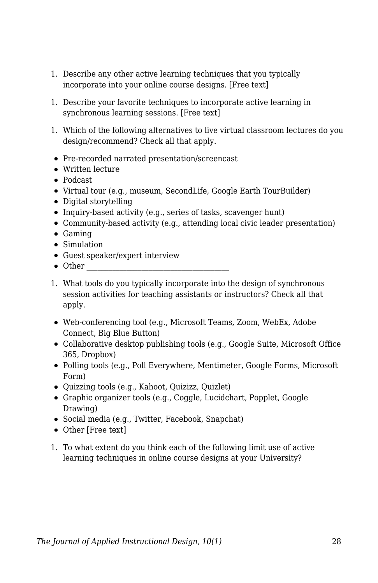- 1. Describe any other active learning techniques that you typically incorporate into your online course designs. [Free text]
- 1. Describe your favorite techniques to incorporate active learning in synchronous learning sessions. [Free text]
- 1. Which of the following alternatives to live virtual classroom lectures do you design/recommend? Check all that apply.
- Pre-recorded narrated presentation/screencast
- Written lecture
- Podcast
- Virtual tour (e.g., museum, SecondLife, Google Earth TourBuilder)
- Digital storytelling
- Inquiry-based activity (e.g., series of tasks, scavenger hunt)
- Community-based activity (e.g., attending local civic leader presentation)
- Gaming
- Simulation
- Guest speaker/expert interview
- $\bullet$  Other
- 1. What tools do you typically incorporate into the design of synchronous session activities for teaching assistants or instructors? Check all that apply.
- Web-conferencing tool (e.g., Microsoft Teams, Zoom, WebEx, Adobe Connect, Big Blue Button)
- Collaborative desktop publishing tools (e.g., Google Suite, Microsoft Office 365, Dropbox)
- Polling tools (e.g., Poll Everywhere, Mentimeter, Google Forms, Microsoft Form)
- Quizzing tools (e.g., Kahoot, Quizizz, Quizlet)
- Graphic organizer tools (e.g., Coggle, Lucidchart, Popplet, Google Drawing)
- Social media (e.g., Twitter, Facebook, Snapchat)
- Other [Free text]
- 1. To what extent do you think each of the following limit use of active learning techniques in online course designs at your University?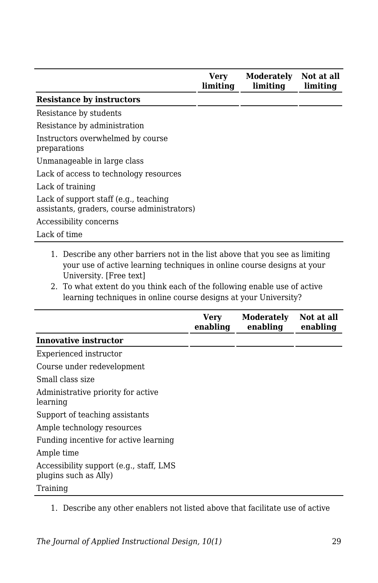|                                                                                      | Verv<br>limiting | <b>Moderately</b><br>limiting | Not at all<br>limiting |
|--------------------------------------------------------------------------------------|------------------|-------------------------------|------------------------|
| <b>Resistance by instructors</b>                                                     |                  |                               |                        |
| Resistance by students                                                               |                  |                               |                        |
| Resistance by administration                                                         |                  |                               |                        |
| Instructors overwhelmed by course<br>preparations                                    |                  |                               |                        |
| Unmanageable in large class                                                          |                  |                               |                        |
| Lack of access to technology resources                                               |                  |                               |                        |
| Lack of training                                                                     |                  |                               |                        |
| Lack of support staff (e.g., teaching<br>assistants, graders, course administrators) |                  |                               |                        |
| Accessibility concerns                                                               |                  |                               |                        |
| Lack of time                                                                         |                  |                               |                        |

- 1. Describe any other barriers not in the list above that you see as limiting your use of active learning techniques in online course designs at your University. [Free text]
- 2. To what extent do you think each of the following enable use of active learning techniques in online course designs at your University?

|                                                                  | Verv<br>enabling | <b>Moderately</b><br>enabling | Not at all<br>enabling |
|------------------------------------------------------------------|------------------|-------------------------------|------------------------|
| <b>Innovative instructor</b>                                     |                  |                               |                        |
| Experienced instructor                                           |                  |                               |                        |
| Course under redevelopment                                       |                  |                               |                        |
| Small class size                                                 |                  |                               |                        |
| Administrative priority for active<br>learning                   |                  |                               |                        |
| Support of teaching assistants                                   |                  |                               |                        |
| Ample technology resources                                       |                  |                               |                        |
| Funding incentive for active learning                            |                  |                               |                        |
| Ample time                                                       |                  |                               |                        |
| Accessibility support (e.g., staff, LMS<br>plugins such as Ally) |                  |                               |                        |
| Training                                                         |                  |                               |                        |

1. Describe any other enablers not listed above that facilitate use of active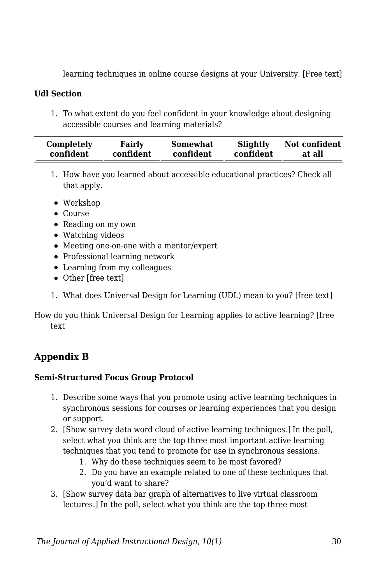learning techniques in online course designs at your University. [Free text]

#### **Udl Section**

1. To what extent do you feel confident in your knowledge about designing accessible courses and learning materials?

| Completely | Fairly    | Somewhat  | Slightly  | Not confident |
|------------|-----------|-----------|-----------|---------------|
| confident  | confident | confident | confident | at all        |

- 1. How have you learned about accessible educational practices? Check all that apply.
- Workshop
- Course
- Reading on my own
- Watching videos
- Meeting one-on-one with a mentor/expert
- Professional learning network
- Learning from my colleagues
- Other [free text]
- 1. What does Universal Design for Learning (UDL) mean to you? [free text]

How do you think Universal Design for Learning applies to active learning? [free text

### **Appendix B**

#### **Semi-Structured Focus Group Protocol**

- 1. Describe some ways that you promote using active learning techniques in synchronous sessions for courses or learning experiences that you design or support.
- 2. [Show survey data word cloud of active learning techniques.] In the poll, select what you think are the top three most important active learning techniques that you tend to promote for use in synchronous sessions.
	- 1. Why do these techniques seem to be most favored?
	- 2. Do you have an example related to one of these techniques that you'd want to share?
- 3. [Show survey data bar graph of alternatives to live virtual classroom lectures.] In the poll, select what you think are the top three most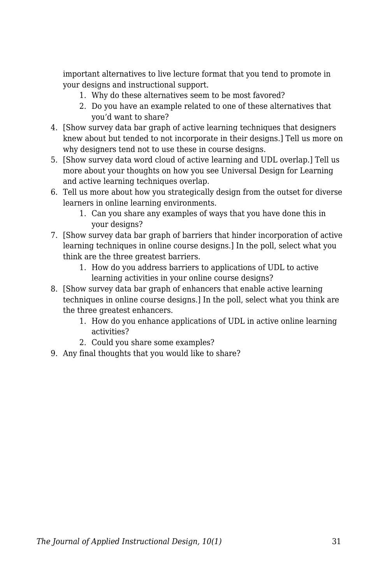important alternatives to live lecture format that you tend to promote in your designs and instructional support.

- 1. Why do these alternatives seem to be most favored?
- 2. Do you have an example related to one of these alternatives that you'd want to share?
- 4. [Show survey data bar graph of active learning techniques that designers knew about but tended to not incorporate in their designs.] Tell us more on why designers tend not to use these in course designs.
- 5. [Show survey data word cloud of active learning and UDL overlap.] Tell us more about your thoughts on how you see Universal Design for Learning and active learning techniques overlap.
- 6. Tell us more about how you strategically design from the outset for diverse learners in online learning environments.
	- 1. Can you share any examples of ways that you have done this in your designs?
- 7. [Show survey data bar graph of barriers that hinder incorporation of active learning techniques in online course designs.] In the poll, select what you think are the three greatest barriers.
	- 1. How do you address barriers to applications of UDL to active learning activities in your online course designs?
- 8. [Show survey data bar graph of enhancers that enable active learning techniques in online course designs.] In the poll, select what you think are the three greatest enhancers.
	- 1. How do you enhance applications of UDL in active online learning activities?
	- 2. Could you share some examples?
- 9. Any final thoughts that you would like to share?